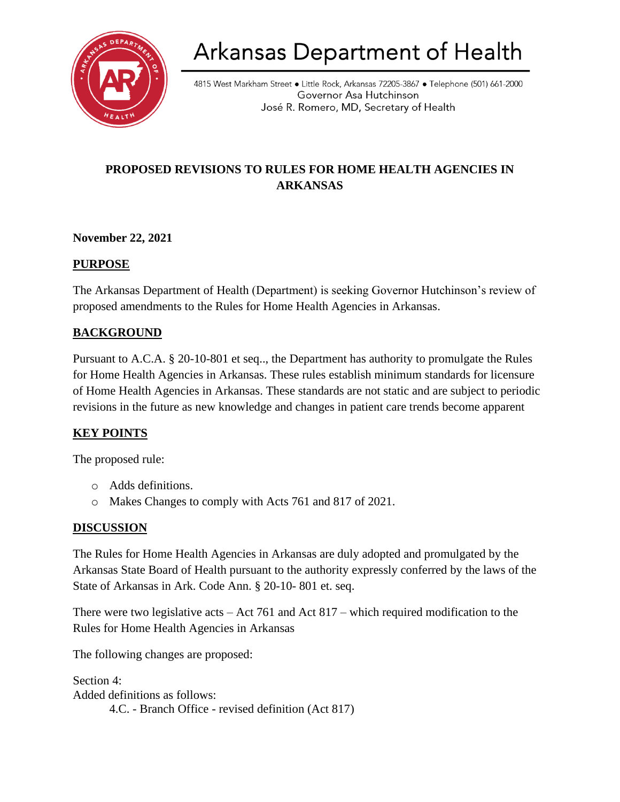

# Arkansas Department of Health

4815 West Markham Street • Little Rock, Arkansas 72205-3867 • Telephone (501) 661-2000 Governor Asa Hutchinson José R. Romero, MD, Secretary of Health

# **PROPOSED REVISIONS TO RULES FOR HOME HEALTH AGENCIES IN ARKANSAS**

# **November 22, 2021**

# **PURPOSE**

The Arkansas Department of Health (Department) is seeking Governor Hutchinson's review of proposed amendments to the Rules for Home Health Agencies in Arkansas.

# **BACKGROUND**

Pursuant to A.C.A. § 20-10-801 et seq.., the Department has authority to promulgate the Rules for Home Health Agencies in Arkansas. These rules establish minimum standards for licensure of Home Health Agencies in Arkansas. These standards are not static and are subject to periodic revisions in the future as new knowledge and changes in patient care trends become apparent

#### **KEY POINTS**

The proposed rule:

- o Adds definitions.
- o Makes Changes to comply with Acts 761 and 817 of 2021.

#### **DISCUSSION**

The Rules for Home Health Agencies in Arkansas are duly adopted and promulgated by the Arkansas State Board of Health pursuant to the authority expressly conferred by the laws of the State of Arkansas in Ark. Code Ann. § 20-10- 801 et. seq.

There were two legislative acts – Act 761 and Act 817 – which required modification to the Rules for Home Health Agencies in Arkansas

The following changes are proposed:

Section 4: Added definitions as follows: 4.C. - Branch Office - revised definition (Act 817)